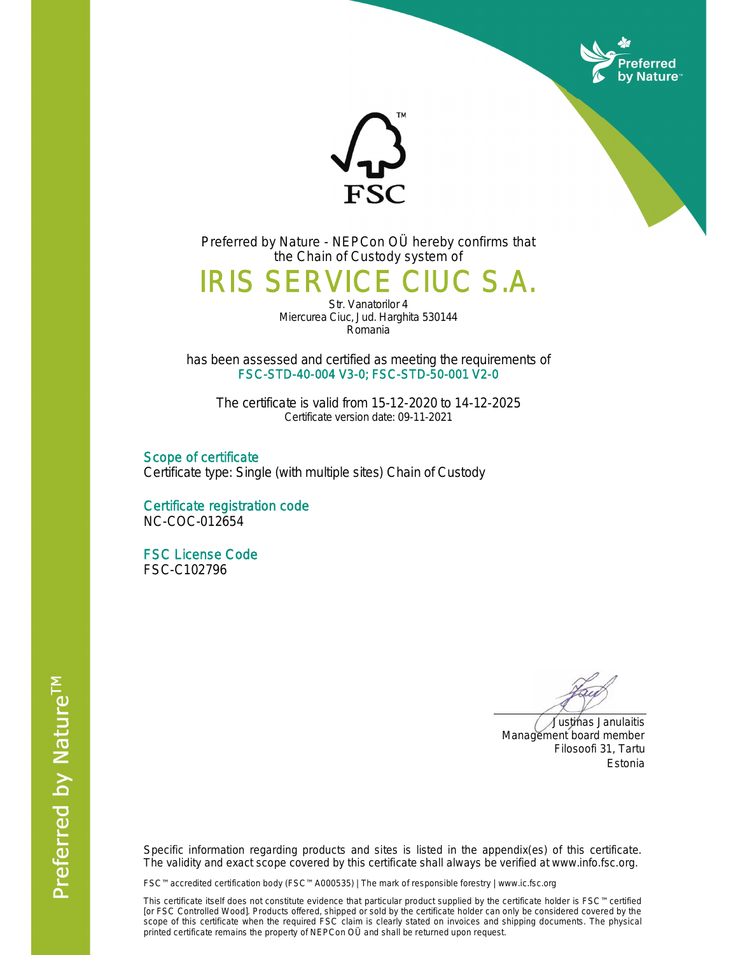



Preferred by Nature - NEPCon OÜ hereby confirms that the Chain of Custody system of

## IRIS SERVICE CIUC S.A.

Str. Vanatorilor 4 Miercurea Ciuc, Jud. Harghita 530144 Romania

has been assessed and certified as meeting the requirements of FSC-STD-40-004 V3-0; FSC-STD-50-001 V2-0

The certificate is valid from 15-12-2020 to 14-12-2025 Certificate version date: 09-11-2021

Scope of certificate Certificate type: Single (with multiple sites) Chain of Custody

Certificate registration code NC-COC-012654

FSC License Code FSC-C102796

 Justinas Janulaitis Management board member Filosoofi 31, Tartu Estonia

Specific information regarding products and sites is listed in the appendix(es) of this certificate. The validity and exact scope covered by this certificate shall always be verified at www.info.fsc.org.

FSC™ accredited certification body (FSC™ A000535) | The mark of responsible forestry | www.ic.fsc.org

This certificate itself does not constitute evidence that particular product supplied by the certificate holder is FSC™ certified [or FSC Controlled Wood]. Products offered, shipped or sold by the certificate holder can only be considered covered by the scope of this certificate when the required FSC claim is clearly stated on invoices and shipping documents. The physical printed certificate remains the property of NEPCon OÜ and shall be returned upon request.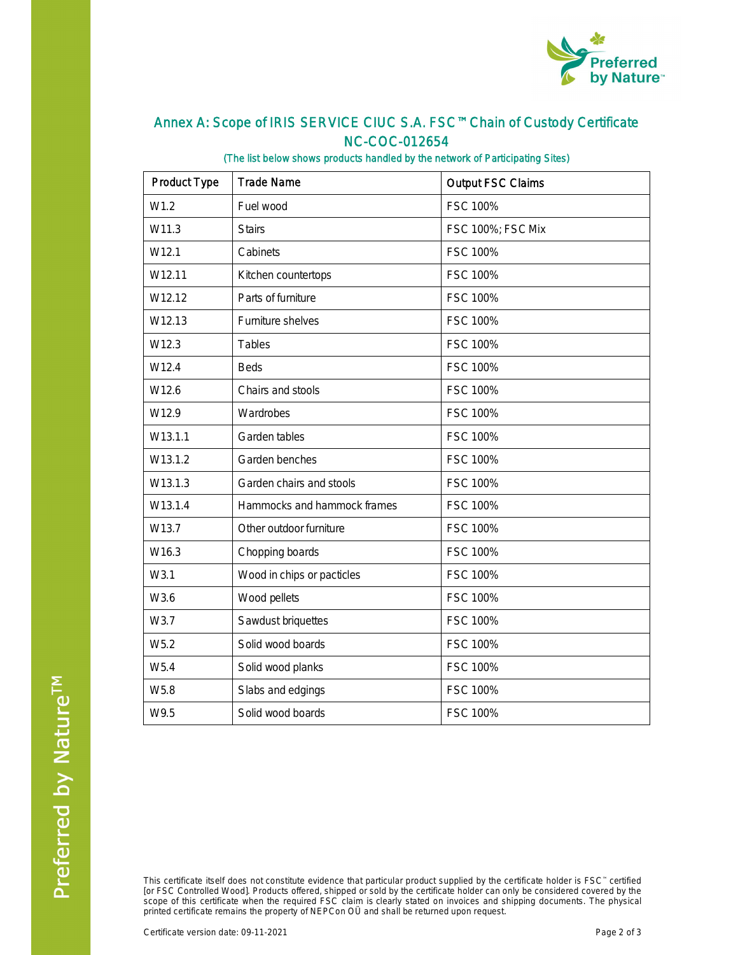

## Annex A: Scope of IRIS SERVICE CIUC S.A. FSC™ Chain of Custody Certificate NC-COC-012654

## (The list below shows products handled by the network of Participating Sites)

| <b>Product Type</b> | <b>Trade Name</b>           | <b>Output FSC Claims</b> |  |
|---------------------|-----------------------------|--------------------------|--|
| W1.2                | Fuel wood                   | <b>FSC 100%</b>          |  |
| W11.3               | <b>Stairs</b>               | FSC 100%; FSC Mix        |  |
| W <sub>12.1</sub>   | Cabinets                    | FSC 100%                 |  |
| W12.11              | Kitchen countertops         | FSC 100%                 |  |
| W12.12              | Parts of furniture          | FSC 100%                 |  |
| W12.13              | Furniture shelves           | FSC 100%                 |  |
| W12.3               | Tables                      | FSC 100%                 |  |
| W12.4               | <b>Beds</b>                 | FSC 100%                 |  |
| W12.6               | Chairs and stools           | FSC 100%                 |  |
| W12.9               | Wardrobes                   | FSC 100%                 |  |
| W13.1.1             | Garden tables               | FSC 100%                 |  |
| W13.1.2             | Garden benches              | FSC 100%                 |  |
| W13.1.3             | Garden chairs and stools    | FSC 100%                 |  |
| W13.1.4             | Hammocks and hammock frames | FSC 100%                 |  |
| W13.7               | Other outdoor furniture     | FSC 100%                 |  |
| W16.3               | Chopping boards             | FSC 100%                 |  |
| W3.1                | Wood in chips or pacticles  | FSC 100%                 |  |
| W3.6                | Wood pellets                | FSC 100%                 |  |
| W3.7                | Sawdust briquettes          | FSC 100%                 |  |
| W <sub>5.2</sub>    | Solid wood boards           | FSC 100%                 |  |
| W5.4                | Solid wood planks           | FSC 100%                 |  |
| W5.8                | Slabs and edgings           | FSC 100%                 |  |
| W9.5                | Solid wood boards           | <b>FSC 100%</b>          |  |

This certificate itself does not constitute evidence that particular product supplied by the certificate holder is FSC™ certified [or FSC Controlled Wood]. Products offered, shipped or sold by the certificate holder can only be considered covered by the scope of this certificate when the required FSC claim is clearly stated on invoices and shipping documents. The physical printed certificate remains the property of NEPCon OÜ and shall be returned upon request.